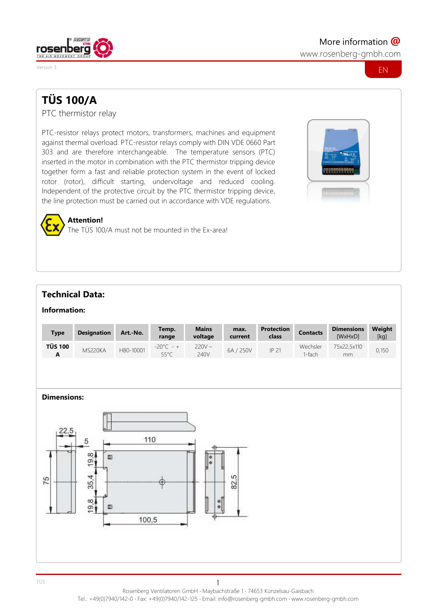

www.rosenberg-gmbh.com



# **TÜS 100/A**

PTC thermistor relay

PTC-resistor relays protect motors, transformers, machines and equipment against thermal overload. PTC-resistor relays comply with DIN VDE 0660 Part 303 and are therefore interchangeable. The temperature sensors (PTC) inserted in the motor in combination with the PTC thermistor tripping device together form a fast and reliable protection system in the event of locked rotor (rotor), difficult starting, undervoltage and reduced cooling. Independent of the protective circuit by the PTC thermistor tripping device, the line protection must be carried out in accordance with VDE regulations.



# **Attention!**

The TÜS 100/A must not be mounted in the Ex-area!

## **Technical Data:**

#### **Information:**

| <b>Type</b>         | <b>Designation</b> | Art.-No.  | Temp.<br>range              | <b>Mains</b><br>voltage | max.<br>current | <b>Protection</b><br>class | <b>Contacts</b>      | <b>Dimensions</b><br>[WxHxD] | Weight<br>[kg] |
|---------------------|--------------------|-----------|-----------------------------|-------------------------|-----------------|----------------------------|----------------------|------------------------------|----------------|
| <b>TÜS 100</b><br>A | MS220KA            | H80-10001 | $-20^{\circ}$ C - +<br>55°C | $220V -$<br>240V        | 6A / 250V       | IP 21                      | Wechsler<br>$1-fach$ | 75x22,5x110<br>mm            | 0,150          |

#### **Dimensions:**